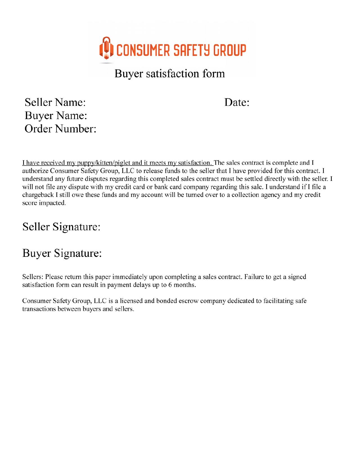

Buyer satisfaction form

## Seller Name: **Buyer Name:** Order Number:

Date:

I have received my puppy/kitten/piglet and it meets my satisfaction. The sales contract is complete and I authorize Consumer Safety Group, LLC to release funds to the seller that I have provided for this contract. I understand any future disputes regarding this completed sales contract must be settled directly with the seller. I will not file any dispute with my credit card or bank card company regarding this sale. I understand if I file a chargeback I still owe these funds and my account will be turned over to a collection agency and my credit score impacted.

## Seller Signature:

## **Buyer Signature:**

Sellers: Please return this paper immediately upon completing a sales contract. Failure to get a signed satisfaction form can result in payment delays up to 6 months.

Consumer Safety Group, LLC is a licensed and bonded escrow company dedicated to facilitating safe transactions between buyers and sellers.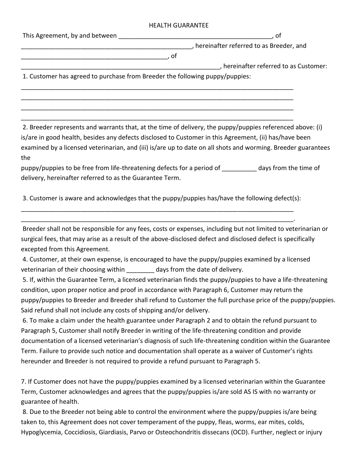## HEALTH GUARANTEE

| This Agreement, by and between                                               | Οt                                      |  |
|------------------------------------------------------------------------------|-----------------------------------------|--|
|                                                                              | hereinafter referred to as Breeder, and |  |
|                                                                              |                                         |  |
|                                                                              | , hereinafter referred to as Customer:  |  |
| 1. Customer has agreed to purchase from Breeder the following puppy/puppies: |                                         |  |
|                                                                              |                                         |  |
|                                                                              |                                         |  |

2. Breeder represents and warrants that, at the time of delivery, the puppy/puppies referenced above: (i) is/are in good health, besides any defects disclosed to Customer in this Agreement, (ii) has/have been examined by a licensed veterinarian, and (iii) is/are up to date on all shots and worming. Breeder guarantees the

puppy/puppies to be free from life-threatening defects for a period of \_\_\_\_\_\_\_\_\_\_ days from the time of delivery, hereinafter referred to as the Guarantee Term.

3. Customer is aware and acknowledges that the puppy/puppies has/have the following defect(s):

\_\_\_\_\_\_\_\_\_\_\_\_\_\_\_\_\_\_\_\_\_\_\_\_\_\_\_\_\_\_\_\_\_\_\_\_\_\_\_\_\_\_\_\_\_\_\_\_\_\_\_\_\_\_\_\_\_\_\_\_\_\_\_\_\_\_\_\_\_\_\_\_\_\_\_\_\_\_ \_\_\_\_\_\_\_\_\_\_\_\_\_\_\_\_\_\_\_\_\_\_\_\_\_\_\_\_\_\_\_\_\_\_\_\_\_\_\_\_\_\_\_\_\_\_\_\_\_\_\_\_\_\_\_\_\_\_\_\_\_\_\_\_\_\_\_\_\_\_\_\_\_\_\_\_\_\_.

\_\_\_\_\_\_\_\_\_\_\_\_\_\_\_\_\_\_\_\_\_\_\_\_\_\_\_\_\_\_\_\_\_\_\_\_\_\_\_\_\_\_\_\_\_\_\_\_\_\_\_\_\_\_\_\_\_\_\_\_\_\_\_\_\_\_\_\_\_\_\_\_\_\_\_\_\_\_ \_\_\_\_\_\_\_\_\_\_\_\_\_\_\_\_\_\_\_\_\_\_\_\_\_\_\_\_\_\_\_\_\_\_\_\_\_\_\_\_\_\_\_\_\_\_\_\_\_\_\_\_\_\_\_\_\_\_\_\_\_\_\_\_\_\_\_\_\_\_\_\_\_\_\_\_\_\_

Breeder shall not be responsible for any fees, costs or expenses, including but not limited to veterinarian or surgical fees, that may arise as a result of the above-disclosed defect and disclosed defect is specifically excepted from this Agreement.

4. Customer, at their own expense, is encouraged to have the puppy/puppies examined by a licensed veterinarian of their choosing within days from the date of delivery.

5. If, within the Guarantee Term, a licensed veterinarian finds the puppy/puppies to have a life-threatening condition, upon proper notice and proof in accordance with Paragraph 6, Customer may return the puppy/puppies to Breeder and Breeder shall refund to Customer the full purchase price of the puppy/puppies. Said refund shall not include any costs of shipping and/or delivery.

6. To make a claim under the health guarantee under Paragraph 2 and to obtain the refund pursuant to Paragraph 5, Customer shall notify Breeder in writing of the life-threatening condition and provide documentation of a licensed veterinarian's diagnosis of such life-threatening condition within the Guarantee Term. Failure to provide such notice and documentation shall operate as a waiver of Customer's rights hereunder and Breeder is not required to provide a refund pursuant to Paragraph 5.

7. If Customer does not have the puppy/puppies examined by a licensed veterinarian within the Guarantee Term, Customer acknowledges and agrees that the puppy/puppies is/are sold AS IS with no warranty or guarantee of health.

8. Due to the Breeder not being able to control the environment where the puppy/puppies is/are being taken to, this Agreement does not cover temperament of the puppy, fleas, worms, ear mites, colds, Hypoglycemia, Coccidiosis, Giardiasis, Parvo or Osteochondritis dissecans (OCD). Further, neglect or injury